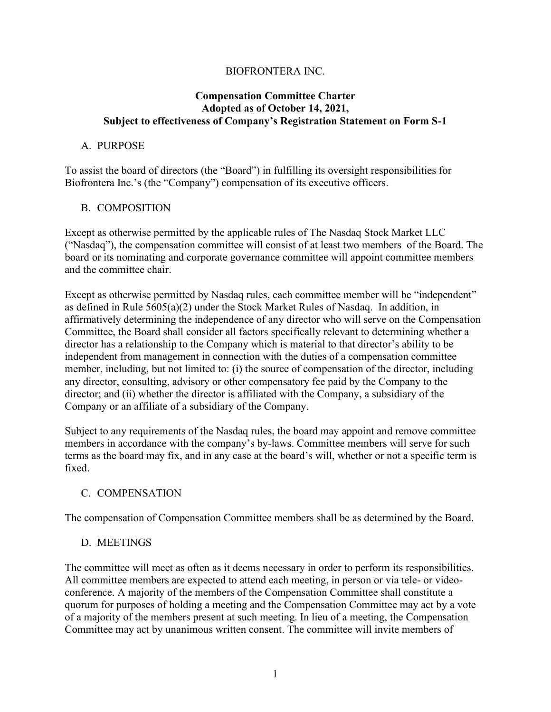### BIOFRONTERA INC.

#### **Compensation Committee Charter Adopted as of October 14, 2021, Subject to effectiveness of Company's Registration Statement on Form S-1**

#### A. PURPOSE

To assist the board of directors (the "Board") in fulfilling its oversight responsibilities for Biofrontera Inc.'s (the "Company") compensation of its executive officers.

### B. COMPOSITION

Except as otherwise permitted by the applicable rules of The Nasdaq Stock Market LLC ("Nasdaq"), the compensation committee will consist of at least two members of the Board. The board or its nominating and corporate governance committee will appoint committee members and the committee chair.

Except as otherwise permitted by Nasdaq rules, each committee member will be "independent" as defined in Rule 5605(a)(2) under the Stock Market Rules of Nasdaq. In addition, in affirmatively determining the independence of any director who will serve on the Compensation Committee, the Board shall consider all factors specifically relevant to determining whether a director has a relationship to the Company which is material to that director's ability to be independent from management in connection with the duties of a compensation committee member, including, but not limited to: (i) the source of compensation of the director, including any director, consulting, advisory or other compensatory fee paid by the Company to the director; and (ii) whether the director is affiliated with the Company, a subsidiary of the Company or an affiliate of a subsidiary of the Company.

Subject to any requirements of the Nasdaq rules, the board may appoint and remove committee members in accordance with the company's by-laws. Committee members will serve for such terms as the board may fix, and in any case at the board's will, whether or not a specific term is fixed.

#### C. COMPENSATION

The compensation of Compensation Committee members shall be as determined by the Board.

## D. MEETINGS

The committee will meet as often as it deems necessary in order to perform its responsibilities. All committee members are expected to attend each meeting, in person or via tele- or videoconference. A majority of the members of the Compensation Committee shall constitute a quorum for purposes of holding a meeting and the Compensation Committee may act by a vote of a majority of the members present at such meeting. In lieu of a meeting, the Compensation Committee may act by unanimous written consent. The committee will invite members of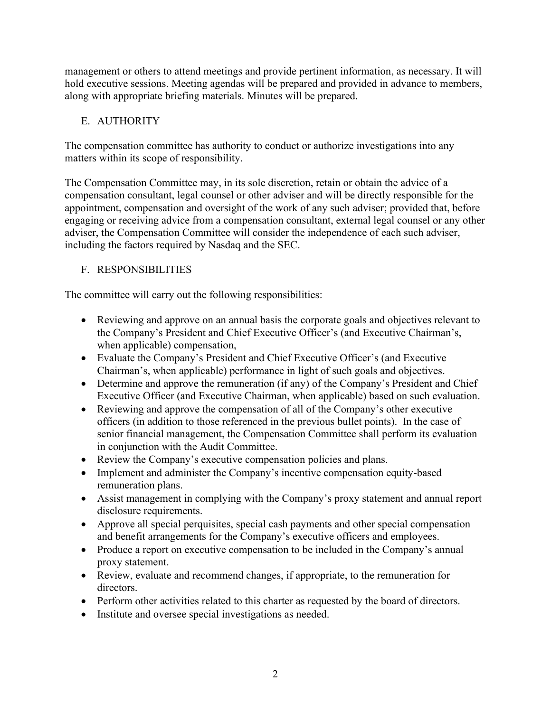management or others to attend meetings and provide pertinent information, as necessary. It will hold executive sessions. Meeting agendas will be prepared and provided in advance to members, along with appropriate briefing materials. Minutes will be prepared.

# E. AUTHORITY

The compensation committee has authority to conduct or authorize investigations into any matters within its scope of responsibility.

The Compensation Committee may, in its sole discretion, retain or obtain the advice of a compensation consultant, legal counsel or other adviser and will be directly responsible for the appointment, compensation and oversight of the work of any such adviser; provided that, before engaging or receiving advice from a compensation consultant, external legal counsel or any other adviser, the Compensation Committee will consider the independence of each such adviser, including the factors required by Nasdaq and the SEC.

# F. RESPONSIBILITIES

The committee will carry out the following responsibilities:

- Reviewing and approve on an annual basis the corporate goals and objectives relevant to the Company's President and Chief Executive Officer's (and Executive Chairman's, when applicable) compensation,
- Evaluate the Company's President and Chief Executive Officer's (and Executive Chairman's, when applicable) performance in light of such goals and objectives.
- Determine and approve the remuneration (if any) of the Company's President and Chief Executive Officer (and Executive Chairman, when applicable) based on such evaluation.
- Reviewing and approve the compensation of all of the Company's other executive officers (in addition to those referenced in the previous bullet points). In the case of senior financial management, the Compensation Committee shall perform its evaluation in conjunction with the Audit Committee.
- Review the Company's executive compensation policies and plans.
- Implement and administer the Company's incentive compensation equity-based remuneration plans.
- Assist management in complying with the Company's proxy statement and annual report disclosure requirements.
- Approve all special perquisites, special cash payments and other special compensation and benefit arrangements for the Company's executive officers and employees.
- Produce a report on executive compensation to be included in the Company's annual proxy statement.
- Review, evaluate and recommend changes, if appropriate, to the remuneration for directors.
- Perform other activities related to this charter as requested by the board of directors.
- Institute and oversee special investigations as needed.